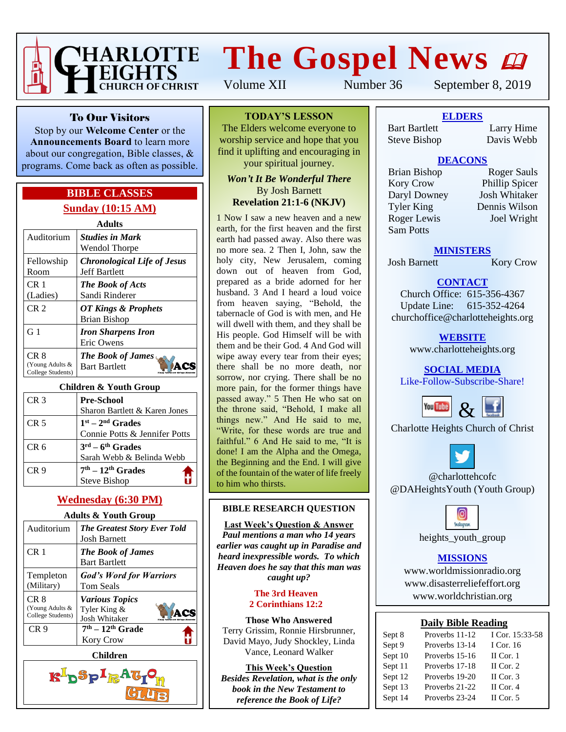

# **The Gospel News**

Volume XII Number 36 September 8, 2019

To Our Visitors

Stop by our **Welcome Center** or the **Announcements Board** to learn more about our congregation, Bible classes, & programs. Come back as often as possible.

## **BIBLE CLASSES Sunday (10:15 AM)**

| <b>Adults</b>                                |                                                            |  |
|----------------------------------------------|------------------------------------------------------------|--|
| Auditorium                                   | <b>Studies in Mark</b><br>Wendol Thorpe                    |  |
| Fellowship<br>Room                           | <b>Chronological Life of Jesus</b><br><b>Jeff Bartlett</b> |  |
| CR <sub>1</sub><br>(Ladies)                  | <b>The Book of Acts</b><br>Sandi Rinderer                  |  |
| CR <sub>2</sub>                              | OT Kings & Prophets<br><b>Brian Bishop</b>                 |  |
| G <sub>1</sub>                               | <b>Iron Sharpens Iron</b><br>Eric Owens                    |  |
| CR 8<br>(Young Adults &<br>College Students) | <b>The Book of James</b><br><b>Bart Bartlett</b>           |  |

#### **Children & Youth Group**

| CR <sub>3</sub> | <b>Pre-School</b>                      |
|-----------------|----------------------------------------|
|                 | Sharon Bartlett & Karen Jones          |
| CR <sub>5</sub> | $1st - 2nd$ Grades                     |
|                 | Connie Potts & Jennifer Potts          |
| CR <sub>6</sub> | $3^{\text{rd}} - 6^{\text{th}}$ Grades |
|                 | Sarah Webb & Belinda Webb              |
| CR 9            | $7th - 12th$ Grades                    |
|                 | <b>Steve Bishop</b>                    |

#### **Wednesday (6:30 PM)**

#### **Adults & Youth Group**

| $\alpha$ rough order                         |                                                               |  |
|----------------------------------------------|---------------------------------------------------------------|--|
| Auditorium                                   | <b>The Greatest Story Ever Told</b><br><b>Josh Barnett</b>    |  |
| CR 1                                         | <b>The Book of James</b><br><b>Bart Bartlett</b>              |  |
| Templeton<br>(Military)                      | <b>God's Word for Warriors</b><br>Tom Seals                   |  |
| CR 8<br>(Young Adults &<br>College Students) | <b>Various Topics</b><br>Tyler King &<br><b>Josh Whitaker</b> |  |
| CR <sub>9</sub>                              | $7th - 12th$ Grade<br><b>Kory Crow</b>                        |  |



#### **TODAY'S LESSON**

The Elders welcome everyone to worship service and hope that you find it uplifting and encouraging in your spiritual journey.

#### *Won't It Be Wonderful There* By Josh Barnett **Revelation 21:1-6 (NKJV)**

1 Now I saw a new heaven and a new earth, for the first heaven and the first earth had passed away. Also there was no more sea. 2 Then I, John, saw the holy city, New Jerusalem, coming down out of heaven from God, prepared as a bride adorned for her husband. 3 And I heard a loud voice from heaven saying, "Behold, the tabernacle of God is with men, and He will dwell with them, and they shall be His people. God Himself will be with them and be their God. 4 And God will wipe away every tear from their eyes; there shall be no more death, nor sorrow, nor crying. There shall be no more pain, for the former things have passed away." 5 Then He who sat on the throne said, "Behold, I make all things new." And He said to me, "Write, for these words are true and faithful." 6 And He said to me, "It is done! I am the Alpha and the Omega, the Beginning and the End. I will give of the fountain of the water of life freely to him who thirsts.

#### **BIBLE RESEARCH QUESTION**

#### **Last Week's Question & Answer**

*Paul mentions a man who 14 years earlier was caught up in Paradise and heard inexpressible words. To which Heaven does he say that this man was caught up?*

#### **The 3rd Heaven 2 Corinthians 12:2**

**Those Who Answered** Terry Grissim, Ronnie Hirsbrunner, David Mayo, Judy Shockley, Linda Vance, Leonard Walker

**This Week's Question** *Besides Revelation, what is the only book in the New Testament to reference the Book of Life?*

## **ELDERS**

Bart Bartlett Larry Hime Steve Bishop Davis Webb

#### **DEACONS**

Kory Crow Phillip Spicer Daryl Downey Josh Whitaker Tyler King Dennis Wilson Roger Lewis Joel Wright Sam Potts

Brian Bishop Roger Sauls

#### **MINISTERS**

Josh Barnett Kory Crow

## **CONTACT**

Church Office: 615-356-4367 Update Line: 615-352-4264 churchoffice@charlotteheights.org

> **WEBSITE** [www.charlotteheights.org](http://www.charlotteheights.org/)

**SOCIAL MEDIA** Like-Follow-Subscribe-Share!



Charlotte Heights Church of Christ



@charlottehcofc @DAHeightsYouth (Youth Group)



heights\_youth\_group

#### **MISSIONS**

www.worldmissionradio.org [www.disasterreliefeffort.org](http://www.disasterreliefeffort.org/) [www.worldchristian.org](http://www.worldchristian.org/)

#### **Daily Bible Reading**

| Sept 8  | Proverbs 11-12 | I Cor. 15:33-58 |
|---------|----------------|-----------------|
| Sept 9  | Proverbs 13-14 | I Cor. 16       |
| Sept 10 | Proverbs 15-16 | $II$ Cor. 1     |
| Sept 11 | Proverbs 17-18 | II Cor. $2$     |
| Sept 12 | Proverbs 19-20 | II Cor. $3$     |
| Sept 13 | Proverbs 21-22 | II Cor. $4$     |
| Sept 14 | Proverbs 23-24 | II Cor. $5$     |
|         |                |                 |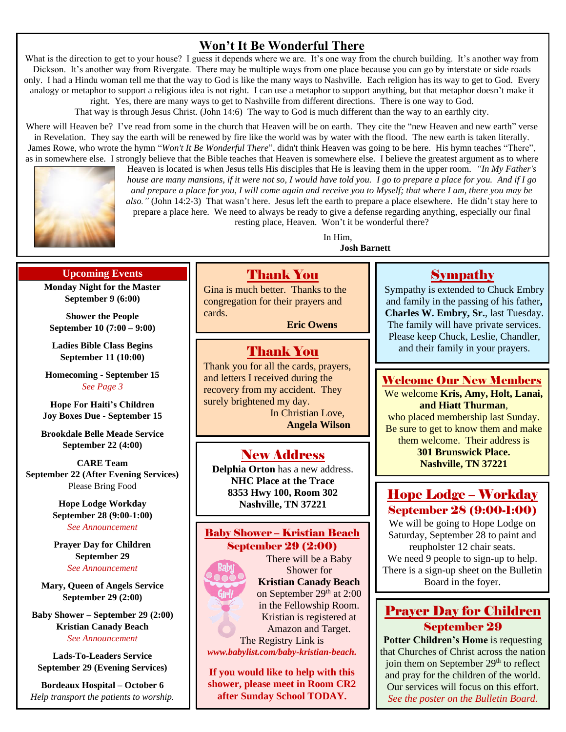## **Won't It Be Wonderful There**

What is the direction to get to your house? I guess it depends where we are. It's one way from the church building. It's another way from Dickson. It's another way from Rivergate. There may be multiple ways from one place because you can go by interstate or side roads only. I had a Hindu woman tell me that the way to God is like the many ways to Nashville. Each religion has its way to get to God. Every analogy or metaphor to support a religious idea is not right. I can use a metaphor to support anything, but that metaphor doesn't make it right. Yes, there are many ways to get to Nashville from different directions. There is one way to God.

That way is through Jesus Christ. (John 14:6) The way to God is much different than the way to an earthly city.

Where will Heaven be? I've read from some in the church that Heaven will be on earth. They cite the "new Heaven and new earth" verse in Revelation. They say the earth will be renewed by fire like the world was by water with the flood. The new earth is taken literally. James Rowe, who wrote the hymn "*Won't It Be Wonderful There*", didn't think Heaven was going to be here. His hymn teaches "There", as in somewhere else. I strongly believe that the Bible teaches that Heaven is somewhere else. I believe the greatest argument as to where



Heaven is located is when Jesus tells His disciples that He is leaving them in the upper room. *"In My Father's house are many mansions, if it were not so, I would have told you. I go to prepare a place for you. And if I go and prepare a place for you, I will come again and receive you to Myself; that where I am, there you may be also."* (John 14:2-3) That wasn't here. Jesus left the earth to prepare a place elsewhere. He didn't stay here to prepare a place here. We need to always be ready to give a defense regarding anything, especially our final resting place, Heaven. Won't it be wonderful there?

> In Him, **Josh Barnett**

#### **Upcoming Events**

**Monday Night for the Master September 9 (6:00)**

**Shower the People September 10 (7:00 – 9:00)**

**Ladies Bible Class Begins September 11 (10:00)**

**Homecoming - September 15** *See Page 3*

**Hope For Haiti's Children Joy Boxes Due - September 15**

**Brookdale Belle Meade Service September 22 (4:00)**

**CARE Team September 22 (After Evening Services)** Please Bring Food

> **Hope Lodge Workday September 28 (9:00-1:00)** *See Announcement*

**Prayer Day for Children September 29** *See Announcement*

**Mary, Queen of Angels Service September 29 (2:00)**

**Baby Shower – September 29 (2:00) Kristian Canady Beach** *See Announcement*

**Lads-To-Leaders Service September 29 (Evening Services)**

**Bordeaux Hospital – October 6** *Help transport the patients to worship.*

## Thank You

Gina is much better. Thanks to the congregation for their prayers and cards.

**Eric Owens**

## Thank You

Thank you for all the cards, prayers, and letters I received during the recovery from my accident. They surely brightened my day. In Christian Love,

**Angela Wilson**

## New Address

**Delphia Orton** has a new address. **NHC Place at the Trace 8353 Hwy 100, Room 302 Nashville, TN 37221**

#### Baby Shower – Kristian Beach September 29 (2:00)

There will be a Baby Shower for **Kristian Canady Beach** on September 29<sup>th</sup> at 2:00 in the Fellowship Room. Kristian is registered at Amazon and Target.

The Registry Link is *www.babylist.com/baby-kristian-beach.*

**If you would like to help with this shower, please meet in Room CR2 after Sunday School TODAY.**

## Sympathy

Sympathy is extended to Chuck Embry and family in the passing of his father**, Charles W. Embry, Sr.**, last Tuesday. The family will have private services. Please keep Chuck, Leslie, Chandler, and their family in your prayers.

## Welcome Our New Members

We welcome **Kris, Amy, Holt, Lanai, and Hiatt Thurman**, who placed membership last Sunday. Be sure to get to know them and make them welcome. Their address is **[301 Brunswick Place.](https://www.google.com/maps/search/?api=1&query=776+Harpeth+Bend+Dr.+Nashville%2C+TN+37221)**

**[Nashville, TN 37221](https://www.google.com/maps/search/?api=1&query=776+Harpeth+Bend+Dr.+Nashville%2C+TN+37221)**

## Hope Lodge – Workday September 28 (9:00-1:00)

We will be going to Hope Lodge on Saturday, September 28 to paint and reupholster 12 chair seats. We need 9 people to sign-up to help. There is a sign-up sheet on the Bulletin Board in the foyer.

## Prayer Day for Children September 29

**Potter Children's Home** is requesting that Churches of Christ across the nation join them on September  $29<sup>th</sup>$  to reflect and pray for the children of the world. Our services will focus on this effort. *See the poster on the Bulletin Board.*

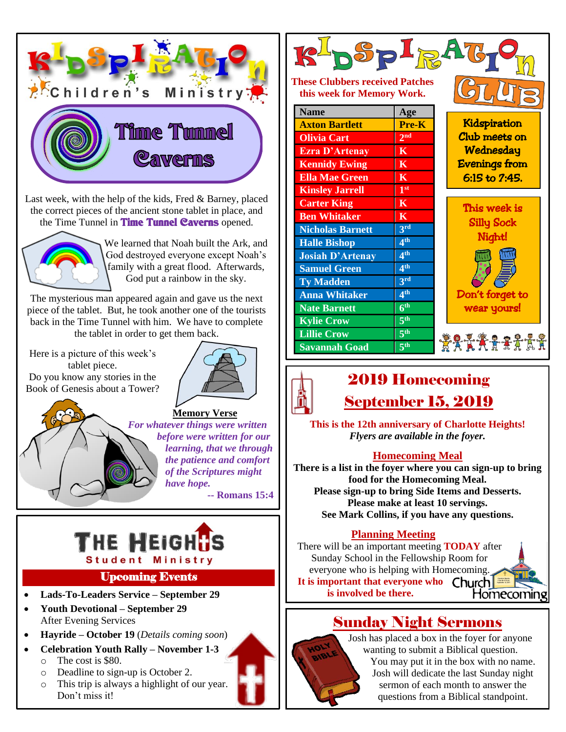

The mysterious man appeared again and gave us the next piece of the tablet. But, he took another one of the tourists back in the Time Tunnel with him. We have to complete the tablet in order to get them back.

Here is a picture of this week's tablet piece. Do you know any stories in the Book of Genesis about a Tower?



**Memory Verse** *For whatever things were written before were written for our learning, that we through the patience and comfort of the Scriptures might have hope.*

**-- Romans 15:4**



## Upcoming Events

- **Lads-To-Leaders Service – September 29**
- **Youth Devotional – September 29** After Evening Services
- **Hayride – October 19** (*Details coming soon*)
- **Celebration Youth Rally – November 1-3** o The cost is \$80.
	- o Deadline to sign-up is October 2.
	- o This trip is always a highlight of our year. Don't miss it!



#### **These Clubbers received Patches this week for Memory Work.**

| <b>Name</b>             | Age                     |
|-------------------------|-------------------------|
| <b>Axton Bartlett</b>   | Pre-K                   |
| <b>Olivia Cart</b>      | 2 <sup>nd</sup>         |
| <b>Ezra D'Artenay</b>   | $\mathbf K$             |
| <b>Kennidy Ewing</b>    | $\mathbf K$             |
| <b>Ella Mae Green</b>   | $\overline{\mathbf{K}}$ |
| <b>Kinsley Jarrell</b>  | 1 <sup>st</sup>         |
| <b>Carter King</b>      | $\mathbf K$             |
| <b>Ben Whitaker</b>     | $\mathbf K$             |
| <b>Nicholas Barnett</b> | 3 <sup>rd</sup>         |
| <b>Halle Bishop</b>     | 4 <sup>th</sup>         |
| <b>Josiah D'Artenay</b> | 4 <sup>th</sup>         |
| <b>Samuel Green</b>     | 4 <sup>th</sup>         |
| <b>Ty Madden</b>        | 3rd                     |
| <b>Anna Whitaker</b>    | 4 <sup>th</sup>         |
| <b>Nate Barnett</b>     | 6 <sup>th</sup>         |
| <b>Kylie Crow</b>       | 5 <sup>th</sup>         |
| <b>Lillie Crow</b>      | 5 <sup>th</sup>         |
| <b>Savannah Goad</b>    | 5 <sup>th</sup>         |

**Kidspiration** Club meets on **Wednesday** Evenings from 6:15 to 7:45.

This week is Silly Sock Night!  $\overline{\mathcal{L}}$ Don't forget to wear yours! I

2771777

## 2019 Homecoming September 15, 2019

**This is the 12th anniversary of Charlotte Heights!** *Flyers are available in the foyer.*

## **Homecoming Meal**

**There is a list in the foyer where you can sign-up to bring food for the Homecoming Meal. Please sign-up to bring Side Items and Desserts. Please make at least 10 servings. See Mark Collins, if you have any questions.**

## **Planning Meeting**

There will be an important meeting **TODAY** after Sunday School in the Fellowship Room for everyone who is helping with Homecoming. **It is important that everyone who is involved be there.** Homecoming

## Sunday Night Sermons



Josh has placed a box in the foyer for anyone wanting to submit a Biblical question. You may put it in the box with no name. Josh will dedicate the last Sunday night sermon of each month to answer the questions from a Biblical standpoint.